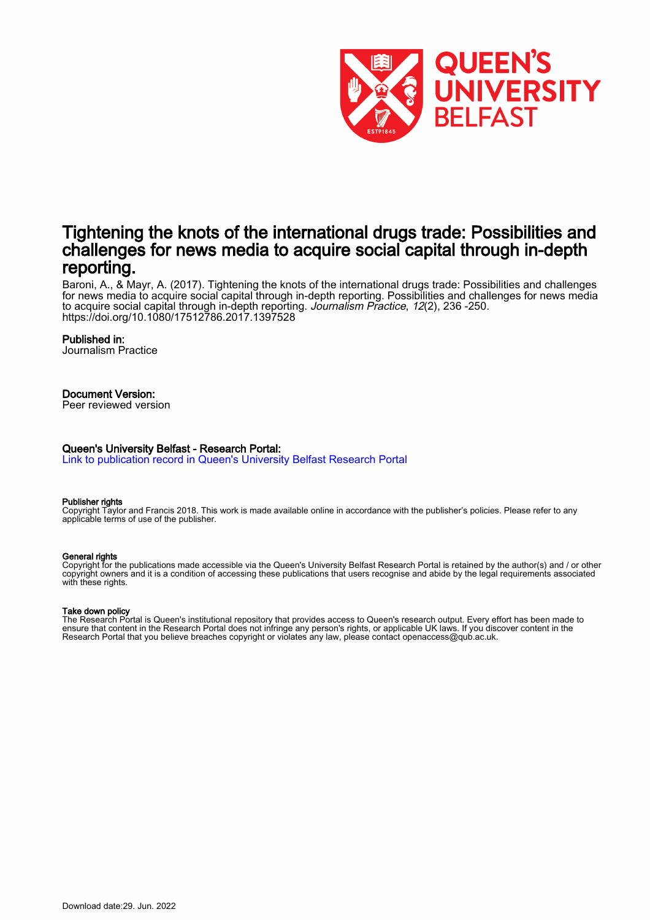

# Tightening the knots of the international drugs trade: Possibilities and challenges for news media to acquire social capital through in-depth reporting.

Baroni, A., & Mayr, A. (2017). Tightening the knots of the international drugs trade: Possibilities and challenges for news media to acquire social capital through in-depth reporting. Possibilities and challenges for news media to acquire social capital through in-depth reporting. Journalism Practice, 12(2), 236 -250. <https://doi.org/10.1080/17512786.2017.1397528>

#### Published in:

Journalism Practice

#### Document Version:

Peer reviewed version

#### Queen's University Belfast - Research Portal:

[Link to publication record in Queen's University Belfast Research Portal](https://pure.qub.ac.uk/en/publications/af3530e2-78de-432c-a41b-ce98cd0fa31f)

#### Publisher rights

Copyright Taylor and Francis 2018. This work is made available online in accordance with the publisher's policies. Please refer to any applicable terms of use of the publisher.

#### General rights

Copyright for the publications made accessible via the Queen's University Belfast Research Portal is retained by the author(s) and / or other copyright owners and it is a condition of accessing these publications that users recognise and abide by the legal requirements associated with these rights.

#### Take down policy

The Research Portal is Queen's institutional repository that provides access to Queen's research output. Every effort has been made to ensure that content in the Research Portal does not infringe any person's rights, or applicable UK laws. If you discover content in the Research Portal that you believe breaches copyright or violates any law, please contact openaccess@qub.ac.uk.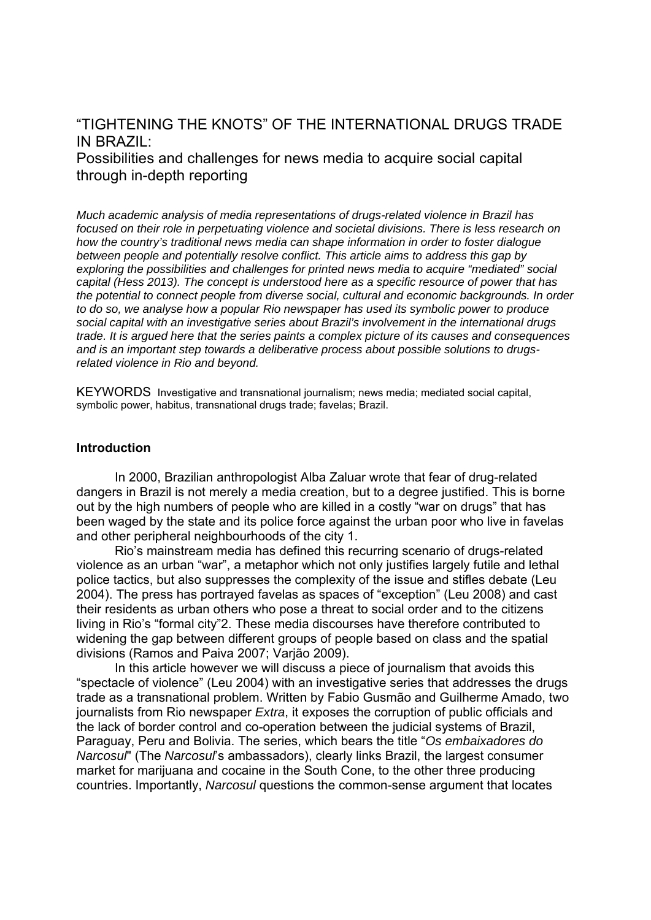# "TIGHTENING THE KNOTS" OF THE INTERNATIONAL DRUGS TRADE IN BRAZIL:

Possibilities and challenges for news media to acquire social capital through in-depth reporting

*Much academic analysis of media representations of drugs-related violence in Brazil has focused on their role in perpetuating violence and societal divisions. There is less research on how the country's traditional news media can shape information in order to foster dialogue between people and potentially resolve conflict. This article aims to address this gap by exploring the possibilities and challenges for printed news media to acquire "mediated" social capital (Hess 2013). The concept is understood here as a specific resource of power that has the potential to connect people from diverse social, cultural and economic backgrounds. In order to do so, we analyse how a popular Rio newspaper has used its symbolic power to produce social capital with an investigative series about Brazil's involvement in the international drugs trade. It is argued here that the series paints a complex picture of its causes and consequences and is an important step towards a deliberative process about possible solutions to drugsrelated violence in Rio and beyond.* 

KEYWORDS Investigative and transnational journalism; news media; mediated social capital, symbolic power, habitus, transnational drugs trade; favelas; Brazil.

### **Introduction**

 In 2000, Brazilian anthropologist Alba Zaluar wrote that fear of drug-related dangers in Brazil is not merely a media creation, but to a degree justified. This is borne out by the high numbers of people who are killed in a costly "war on drugs" that has been waged by the state and its police force against the urban poor who live in favelas and other peripheral neighbourhoods of the city 1.

Rio's mainstream media has defined this recurring scenario of drugs-related violence as an urban "war", a metaphor which not only justifies largely futile and lethal police tactics, but also suppresses the complexity of the issue and stifles debate (Leu 2004). The press has portrayed favelas as spaces of "exception" (Leu 2008) and cast their residents as urban others who pose a threat to social order and to the citizens living in Rio's "formal city"2. These media discourses have therefore contributed to widening the gap between different groups of people based on class and the spatial divisions (Ramos and Paiva 2007; Varjão 2009).

In this article however we will discuss a piece of journalism that avoids this "spectacle of violence" (Leu 2004) with an investigative series that addresses the drugs trade as a transnational problem. Written by Fabio Gusmão and Guilherme Amado, two journalists from Rio newspaper *Extra*, it exposes the corruption of public officials and the lack of border control and co-operation between the judicial systems of Brazil, Paraguay, Peru and Bolivia. The series, which bears the title "*Os embaixadores do Narcosul*" (The *Narcosul*'s ambassadors), clearly links Brazil, the largest consumer market for marijuana and cocaine in the South Cone, to the other three producing countries. Importantly, *Narcosul* questions the common-sense argument that locates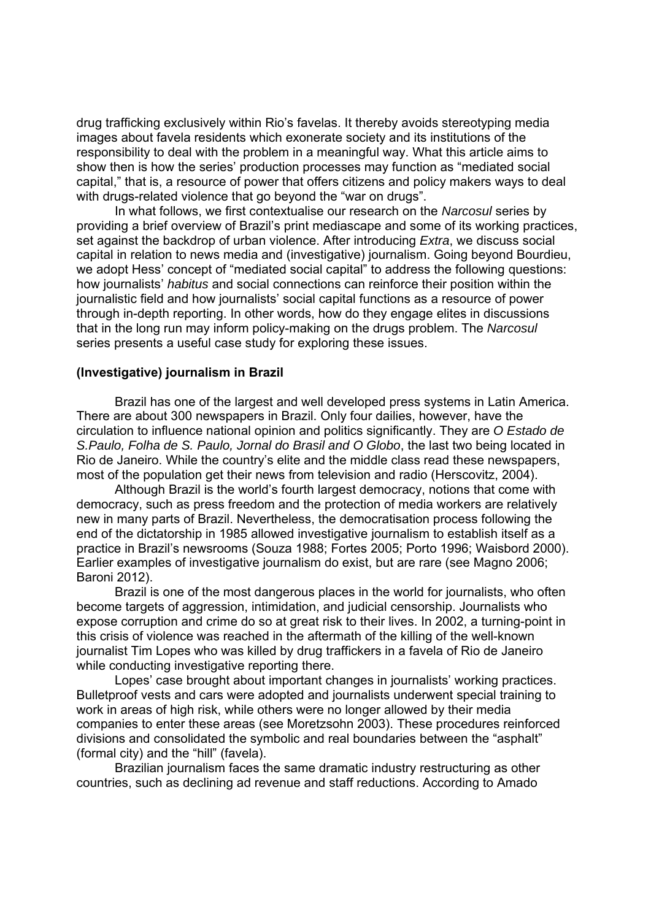drug trafficking exclusively within Rio's favelas. It thereby avoids stereotyping media images about favela residents which exonerate society and its institutions of the responsibility to deal with the problem in a meaningful way. What this article aims to show then is how the series' production processes may function as "mediated social capital," that is, a resource of power that offers citizens and policy makers ways to deal with drugs-related violence that go beyond the "war on drugs".

In what follows, we first contextualise our research on the *Narcosul* series by providing a brief overview of Brazil's print mediascape and some of its working practices, set against the backdrop of urban violence. After introducing *Extra*, we discuss social capital in relation to news media and (investigative) journalism. Going beyond Bourdieu, we adopt Hess' concept of "mediated social capital" to address the following questions: how journalists' *habitus* and social connections can reinforce their position within the journalistic field and how journalists' social capital functions as a resource of power through in-depth reporting. In other words, how do they engage elites in discussions that in the long run may inform policy-making on the drugs problem. The *Narcosul* series presents a useful case study for exploring these issues.

#### **(Investigative) journalism in Brazil**

Brazil has one of the largest and well developed press systems in Latin America. There are about 300 newspapers in Brazil. Only four dailies, however, have the circulation to influence national opinion and politics significantly. They are *O Estado de S.Paulo, Folha de S. Paulo, Jornal do Brasil and O Globo*, the last two being located in Rio de Janeiro. While the country's elite and the middle class read these newspapers, most of the population get their news from television and radio (Herscovitz, 2004).

 Although Brazil is the world's fourth largest democracy, notions that come with democracy, such as press freedom and the protection of media workers are relatively new in many parts of Brazil. Nevertheless, the democratisation process following the end of the dictatorship in 1985 allowed investigative journalism to establish itself as a practice in Brazil's newsrooms (Souza 1988; Fortes 2005; Porto 1996; Waisbord 2000). Earlier examples of investigative journalism do exist, but are rare (see Magno 2006; Baroni 2012).

 Brazil is one of the most dangerous places in the world for journalists, who often become targets of aggression, intimidation, and judicial censorship. Journalists who expose corruption and crime do so at great risk to their lives. In 2002, a turning-point in this crisis of violence was reached in the aftermath of the killing of the well-known journalist Tim Lopes who was killed by drug traffickers in a favela of Rio de Janeiro while conducting investigative reporting there.

 Lopes' case brought about important changes in journalists' working practices. Bulletproof vests and cars were adopted and journalists underwent special training to work in areas of high risk, while others were no longer allowed by their media companies to enter these areas (see Moretzsohn 2003). These procedures reinforced divisions and consolidated the symbolic and real boundaries between the "asphalt" (formal city) and the "hill" (favela).

 Brazilian journalism faces the same dramatic industry restructuring as other countries, such as declining ad revenue and staff reductions. According to Amado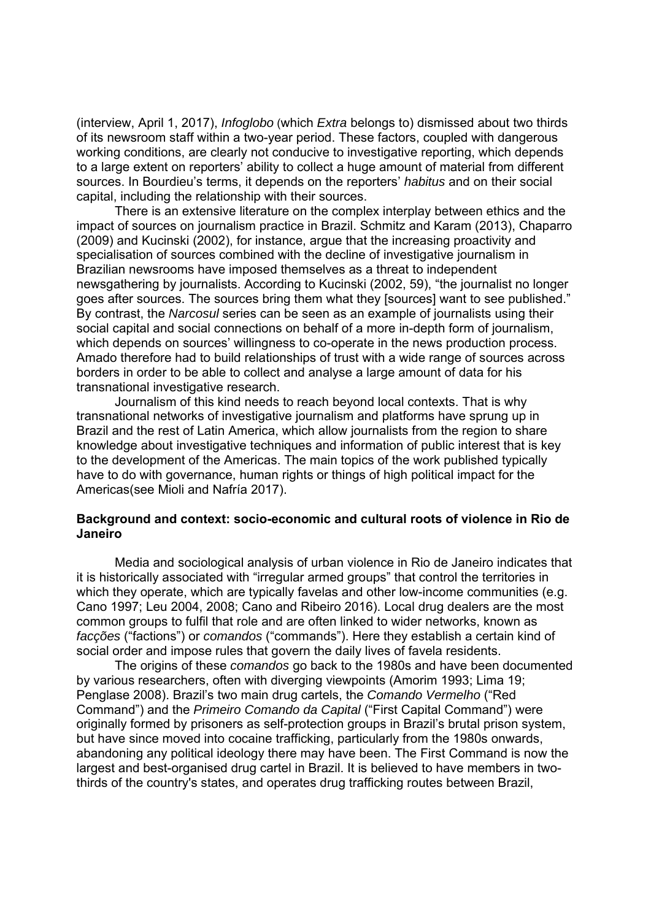(interview, April 1, 2017), *Infoglobo* (which *Extra* belongs to) dismissed about two thirds of its newsroom staff within a two-year period. These factors, coupled with dangerous working conditions, are clearly not conducive to investigative reporting, which depends to a large extent on reporters' ability to collect a huge amount of material from different sources. In Bourdieu's terms, it depends on the reporters' *habitus* and on their social capital, including the relationship with their sources.

There is an extensive literature on the complex interplay between ethics and the impact of sources on journalism practice in Brazil. Schmitz and Karam (2013), Chaparro (2009) and Kucinski (2002), for instance, argue that the increasing proactivity and specialisation of sources combined with the decline of investigative journalism in Brazilian newsrooms have imposed themselves as a threat to independent newsgathering by journalists. According to Kucinski (2002, 59), "the journalist no longer goes after sources. The sources bring them what they [sources] want to see published." By contrast, the *Narcosul* series can be seen as an example of journalists using their social capital and social connections on behalf of a more in-depth form of journalism, which depends on sources' willingness to co-operate in the news production process. Amado therefore had to build relationships of trust with a wide range of sources across borders in order to be able to collect and analyse a large amount of data for his transnational investigative research.

Journalism of this kind needs to reach beyond local contexts. That is why transnational networks of investigative journalism and platforms have sprung up in Brazil and the rest of Latin America, which allow journalists from the region to share knowledge about investigative techniques and information of public interest that is key to the development of the Americas. The main topics of the work published typically have to do with governance, human rights or things of high political impact for the Americas(see Mioli and Nafría 2017).

## **Background and context: socio-economic and cultural roots of violence in Rio de Janeiro**

 Media and sociological analysis of urban violence in Rio de Janeiro indicates that it is historically associated with "irregular armed groups" that control the territories in which they operate, which are typically favelas and other low-income communities (e.g. Cano 1997; Leu 2004, 2008; Cano and Ribeiro 2016). Local drug dealers are the most common groups to fulfil that role and are often linked to wider networks, known as *facções* ("factions") or *comandos* ("commands"). Here they establish a certain kind of social order and impose rules that govern the daily lives of favela residents.

 The origins of these *comandos* go back to the 1980s and have been documented by various researchers, often with diverging viewpoints (Amorim 1993; Lima 19; Penglase 2008). Brazil's two main drug cartels, the *Comando Vermelho* ("Red Command") and the *Primeiro Comando da Capital* ("First Capital Command") were originally formed by prisoners as self-protection groups in Brazil's brutal prison system, but have since moved into cocaine trafficking, particularly from the 1980s onwards, abandoning any political ideology there may have been. The First Command is now the largest and best-organised drug cartel in Brazil. It is believed to have members in twothirds of the country's states, and operates drug trafficking routes between Brazil,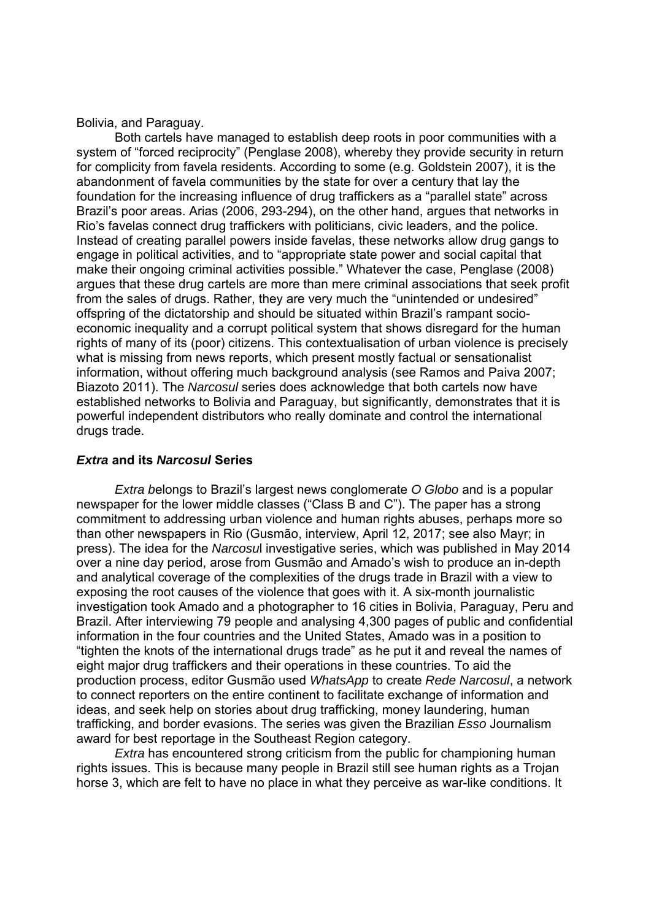Bolivia, and Paraguay.

Both cartels have managed to establish deep roots in poor communities with a system of "forced reciprocity" (Penglase 2008), whereby they provide security in return for complicity from favela residents. According to some (e.g. Goldstein 2007), it is the abandonment of favela communities by the state for over a century that lay the foundation for the increasing influence of drug traffickers as a "parallel state" across Brazil's poor areas. Arias (2006, 293-294), on the other hand, argues that networks in Rio's favelas connect drug traffickers with politicians, civic leaders, and the police. Instead of creating parallel powers inside favelas, these networks allow drug gangs to engage in political activities, and to "appropriate state power and social capital that make their ongoing criminal activities possible." Whatever the case, Penglase (2008) argues that these drug cartels are more than mere criminal associations that seek profit from the sales of drugs. Rather, they are very much the "unintended or undesired" offspring of the dictatorship and should be situated within Brazil's rampant socioeconomic inequality and a corrupt political system that shows disregard for the human rights of many of its (poor) citizens. This contextualisation of urban violence is precisely what is missing from news reports, which present mostly factual or sensationalist information, without offering much background analysis (see Ramos and Paiva 2007; Biazoto 2011). The *Narcosul* series does acknowledge that both cartels now have established networks to Bolivia and Paraguay, but significantly, demonstrates that it is powerful independent distributors who really dominate and control the international drugs trade.

#### *Extra* **and its** *Narcosul* **Series**

*Extra b*elongs to Brazil's largest news conglomerate *O Globo* and is a popular newspaper for the lower middle classes ("Class B and C"). The paper has a strong commitment to addressing urban violence and human rights abuses, perhaps more so than other newspapers in Rio (Gusmão, interview, April 12, 2017; see also Mayr; in press). The idea for the *Narcosu*l investigative series, which was published in May 2014 over a nine day period, arose from Gusmão and Amado's wish to produce an in-depth and analytical coverage of the complexities of the drugs trade in Brazil with a view to exposing the root causes of the violence that goes with it. A six-month journalistic investigation took Amado and a photographer to 16 cities in Bolivia, Paraguay, Peru and Brazil. After interviewing 79 people and analysing 4,300 pages of public and confidential information in the four countries and the United States, Amado was in a position to "tighten the knots of the international drugs trade" as he put it and reveal the names of eight major drug traffickers and their operations in these countries. To aid the production process, editor Gusmão used *WhatsApp* to create *Rede Narcosul*, a network to connect reporters on the entire continent to facilitate exchange of information and ideas, and seek help on stories about drug trafficking, money laundering, human trafficking, and border evasions. The series was given the Brazilian *Esso* Journalism award for best reportage in the Southeast Region category.

*Extra* has encountered strong criticism from the public for championing human rights issues. This is because many people in Brazil still see human rights as a Trojan horse 3, which are felt to have no place in what they perceive as war-like conditions. It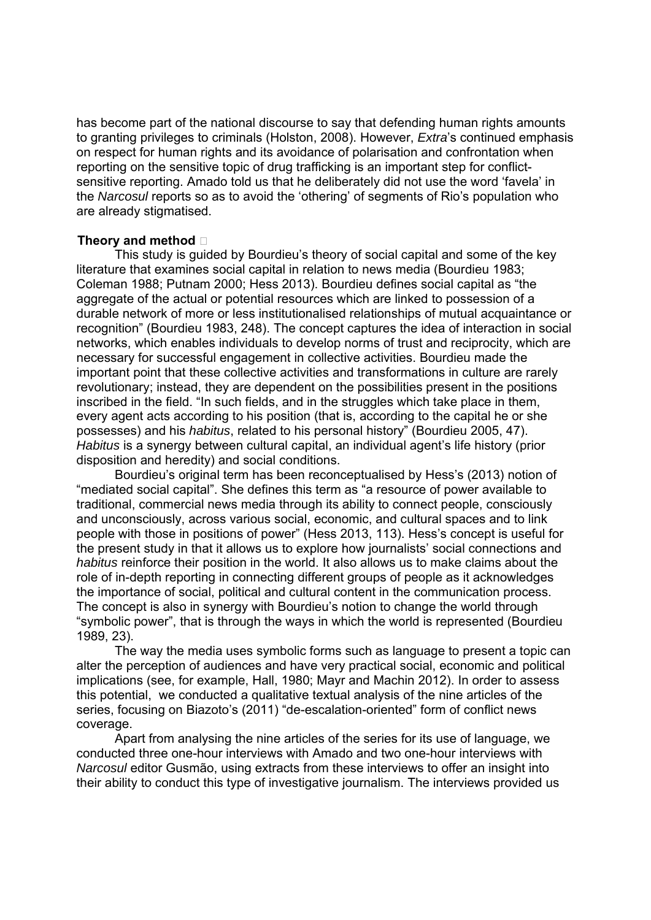has become part of the national discourse to say that defending human rights amounts to granting privileges to criminals (Holston, 2008). However, *Extra*'s continued emphasis on respect for human rights and its avoidance of polarisation and confrontation when reporting on the sensitive topic of drug trafficking is an important step for conflictsensitive reporting. Amado told us that he deliberately did not use the word 'favela' in the *Narcosul* reports so as to avoid the 'othering' of segments of Rio's population who are already stigmatised.

## **Theory and method**

 This study is guided by Bourdieu's theory of social capital and some of the key literature that examines social capital in relation to news media (Bourdieu 1983; Coleman 1988; Putnam 2000; Hess 2013). Bourdieu defines social capital as "the aggregate of the actual or potential resources which are linked to possession of a durable network of more or less institutionalised relationships of mutual acquaintance or recognition" (Bourdieu 1983, 248). The concept captures the idea of interaction in social networks, which enables individuals to develop norms of trust and reciprocity, which are necessary for successful engagement in collective activities. Bourdieu made the important point that these collective activities and transformations in culture are rarely revolutionary; instead, they are dependent on the possibilities present in the positions inscribed in the field. "In such fields, and in the struggles which take place in them, every agent acts according to his position (that is, according to the capital he or she possesses) and his *habitus*, related to his personal history" (Bourdieu 2005, 47). *Habitus* is a synergy between cultural capital, an individual agent's life history (prior disposition and heredity) and social conditions.

Bourdieu's original term has been reconceptualised by Hess's (2013) notion of "mediated social capital". She defines this term as "a resource of power available to traditional, commercial news media through its ability to connect people, consciously and unconsciously, across various social, economic, and cultural spaces and to link people with those in positions of power" (Hess 2013, 113). Hess's concept is useful for the present study in that it allows us to explore how journalists' social connections and *habitus* reinforce their position in the world. It also allows us to make claims about the role of in-depth reporting in connecting different groups of people as it acknowledges the importance of social, political and cultural content in the communication process. The concept is also in synergy with Bourdieu's notion to change the world through "symbolic power", that is through the ways in which the world is represented (Bourdieu 1989, 23).

 The way the media uses symbolic forms such as language to present a topic can alter the perception of audiences and have very practical social, economic and political implications (see, for example, Hall, 1980; Mayr and Machin 2012). In order to assess this potential, we conducted a qualitative textual analysis of the nine articles of the series, focusing on Biazoto's (2011) "de-escalation-oriented" form of conflict news coverage.

 Apart from analysing the nine articles of the series for its use of language, we conducted three one-hour interviews with Amado and two one-hour interviews with *Narcosul* editor Gusmão, using extracts from these interviews to offer an insight into their ability to conduct this type of investigative journalism. The interviews provided us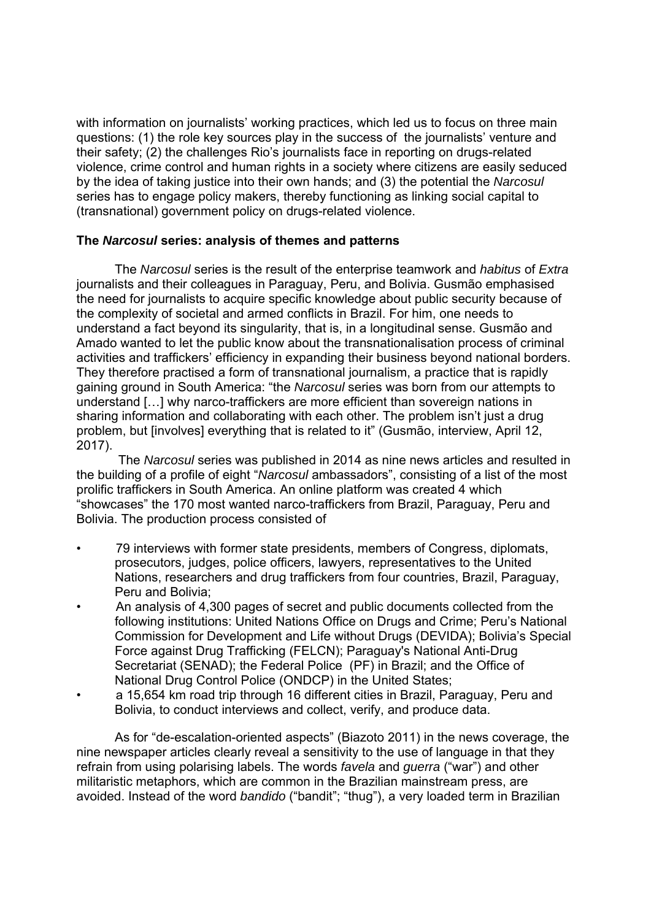with information on journalists' working practices, which led us to focus on three main questions: (1) the role key sources play in the success of the journalists' venture and their safety; (2) the challenges Rio's journalists face in reporting on drugs-related violence, crime control and human rights in a society where citizens are easily seduced by the idea of taking justice into their own hands; and (3) the potential the *Narcosul* series has to engage policy makers, thereby functioning as linking social capital to (transnational) government policy on drugs-related violence.

## **The** *Narcosul* **series: analysis of themes and patterns**

 The *Narcosul* series is the result of the enterprise teamwork and *habitus* of *Extra* journalists and their colleagues in Paraguay, Peru, and Bolivia. Gusmão emphasised the need for journalists to acquire specific knowledge about public security because of the complexity of societal and armed conflicts in Brazil. For him, one needs to understand a fact beyond its singularity, that is, in a longitudinal sense. Gusmão and Amado wanted to let the public know about the transnationalisation process of criminal activities and traffickers' efficiency in expanding their business beyond national borders. They therefore practised a form of transnational journalism, a practice that is rapidly gaining ground in South America: "the *Narcosul* series was born from our attempts to understand […] why narco-traffickers are more efficient than sovereign nations in sharing information and collaborating with each other. The problem isn't just a drug problem, but [involves] everything that is related to it" (Gusmão, interview, April 12, 2017).

 The *Narcosul* series was published in 2014 as nine news articles and resulted in the building of a profile of eight "*Narcosul* ambassadors", consisting of a list of the most prolific traffickers in South America. An online platform was created 4 which "showcases" the 170 most wanted narco-traffickers from Brazil, Paraguay, Peru and Bolivia. The production process consisted of

- 79 interviews with former state presidents, members of Congress, diplomats, prosecutors, judges, police officers, lawyers, representatives to the United Nations, researchers and drug traffickers from four countries, Brazil, Paraguay, Peru and Bolivia;
- An analysis of 4,300 pages of secret and public documents collected from the following institutions: United Nations Office on Drugs and Crime; Peru's National Commission for Development and Life without Drugs (DEVIDA); Bolivia's Special Force against Drug Trafficking (FELCN); Paraguay's National Anti-Drug Secretariat (SENAD); the Federal Police (PF) in Brazil; and the Office of National Drug Control Police (ONDCP) in the United States;
- a 15,654 km road trip through 16 different cities in Brazil, Paraguay, Peru and Bolivia, to conduct interviews and collect, verify, and produce data.

As for "de-escalation-oriented aspects" (Biazoto 2011) in the news coverage, the nine newspaper articles clearly reveal a sensitivity to the use of language in that they refrain from using polarising labels. The words *favela* and *guerra* ("war") and other militaristic metaphors, which are common in the Brazilian mainstream press, are avoided. Instead of the word *bandido* ("bandit"; "thug"), a very loaded term in Brazilian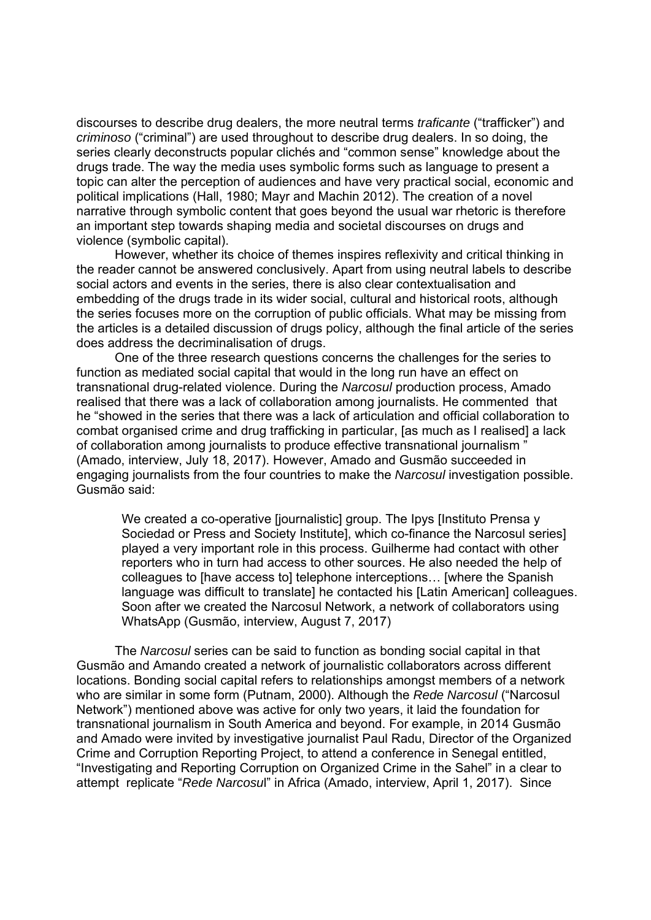discourses to describe drug dealers, the more neutral terms *traficante* ("trafficker") and *criminoso* ("criminal") are used throughout to describe drug dealers. In so doing, the series clearly deconstructs popular clichés and "common sense" knowledge about the drugs trade. The way the media uses symbolic forms such as language to present a topic can alter the perception of audiences and have very practical social, economic and political implications (Hall, 1980; Mayr and Machin 2012). The creation of a novel narrative through symbolic content that goes beyond the usual war rhetoric is therefore an important step towards shaping media and societal discourses on drugs and violence (symbolic capital).

 However, whether its choice of themes inspires reflexivity and critical thinking in the reader cannot be answered conclusively. Apart from using neutral labels to describe social actors and events in the series, there is also clear contextualisation and embedding of the drugs trade in its wider social, cultural and historical roots, although the series focuses more on the corruption of public officials. What may be missing from the articles is a detailed discussion of drugs policy, although the final article of the series does address the decriminalisation of drugs.

One of the three research questions concerns the challenges for the series to function as mediated social capital that would in the long run have an effect on transnational drug-related violence. During the *Narcosul* production process, Amado realised that there was a lack of collaboration among journalists. He commented that he "showed in the series that there was a lack of articulation and official collaboration to combat organised crime and drug trafficking in particular, [as much as I realised] a lack of collaboration among journalists to produce effective transnational journalism " (Amado, interview, July 18, 2017). However, Amado and Gusmão succeeded in engaging journalists from the four countries to make the *Narcosul* investigation possible. Gusmão said:

We created a co-operative [journalistic] group. The Ipys [Instituto Prensa y Sociedad or Press and Society Institute], which co-finance the Narcosul series] played a very important role in this process. Guilherme had contact with other reporters who in turn had access to other sources. He also needed the help of colleagues to [have access to] telephone interceptions… [where the Spanish language was difficult to translate] he contacted his [Latin American] colleagues. Soon after we created the Narcosul Network, a network of collaborators using WhatsApp (Gusmão, interview, August 7, 2017)

The *Narcosul* series can be said to function as bonding social capital in that Gusmão and Amando created a network of journalistic collaborators across different locations. Bonding social capital refers to relationships amongst members of a network who are similar in some form (Putnam, 2000). Although the *Rede Narcosul* ("Narcosul Network") mentioned above was active for only two years, it laid the foundation for transnational journalism in South America and beyond. For example, in 2014 Gusmão and Amado were invited by investigative journalist Paul Radu, Director of the Organized Crime and Corruption Reporting Project, to attend a conference in Senegal entitled, "Investigating and Reporting Corruption on Organized Crime in the Sahel" in a clear to attempt replicate "*Rede Narcosu*l" in Africa (Amado, interview, April 1, 2017). Since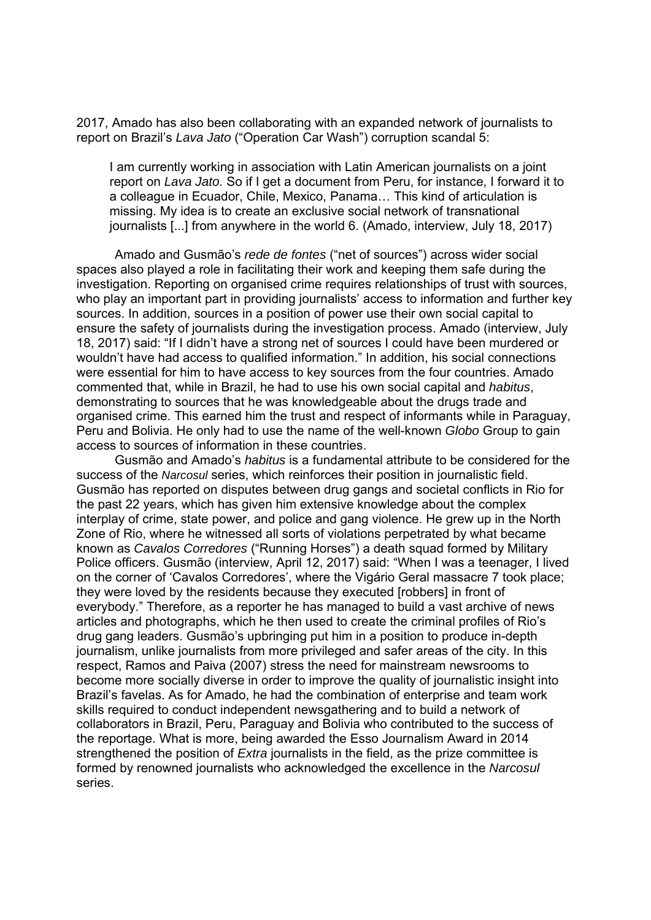2017, Amado has also been collaborating with an expanded network of journalists to report on Brazil's *Lava Jato* ("Operation Car Wash") corruption scandal 5:

I am currently working in association with Latin American journalists on a joint report on *Lava Jato.* So if I get a document from Peru, for instance, I forward it to a colleague in Ecuador, Chile, Mexico, Panama… This kind of articulation is missing. My idea is to create an exclusive social network of transnational journalists [...] from anywhere in the world 6. (Amado, interview, July 18, 2017)

 Amado and Gusmão's *rede de fontes* ("net of sources") across wider social spaces also played a role in facilitating their work and keeping them safe during the investigation. Reporting on organised crime requires relationships of trust with sources, who play an important part in providing journalists' access to information and further key sources. In addition, sources in a position of power use their own social capital to ensure the safety of journalists during the investigation process. Amado (interview, July 18, 2017) said: "If I didn't have a strong net of sources I could have been murdered or wouldn't have had access to qualified information." In addition, his social connections were essential for him to have access to key sources from the four countries. Amado commented that, while in Brazil, he had to use his own social capital and *habitus*, demonstrating to sources that he was knowledgeable about the drugs trade and organised crime. This earned him the trust and respect of informants while in Paraguay, Peru and Bolivia. He only had to use the name of the well-known *Globo* Group to gain access to sources of information in these countries.

Gusmão and Amado's *habitus* is a fundamental attribute to be considered for the success of the *Narcosul* series, which reinforces their position in journalistic field. Gusmão has reported on disputes between drug gangs and societal conflicts in Rio for the past 22 years, which has given him extensive knowledge about the complex interplay of crime, state power, and police and gang violence. He grew up in the North Zone of Rio, where he witnessed all sorts of violations perpetrated by what became known as *Cavalos Corredores* ("Running Horses") a death squad formed by Military Police officers. Gusmão (interview, April 12, 2017) said: "When I was a teenager, I lived on the corner of 'Cavalos Corredores', where the Vigário Geral massacre 7 took place; they were loved by the residents because they executed [robbers] in front of everybody." Therefore, as a reporter he has managed to build a vast archive of news articles and photographs, which he then used to create the criminal profiles of Rio's drug gang leaders. Gusmão's upbringing put him in a position to produce in-depth journalism, unlike journalists from more privileged and safer areas of the city. In this respect, Ramos and Paiva (2007) stress the need for mainstream newsrooms to become more socially diverse in order to improve the quality of journalistic insight into Brazil's favelas. As for Amado, he had the combination of enterprise and team work skills required to conduct independent newsgathering and to build a network of collaborators in Brazil, Peru, Paraguay and Bolivia who contributed to the success of the reportage. What is more, being awarded the Esso Journalism Award in 2014 strengthened the position of *Extra* journalists in the field, as the prize committee is formed by renowned journalists who acknowledged the excellence in the *Narcosul* series.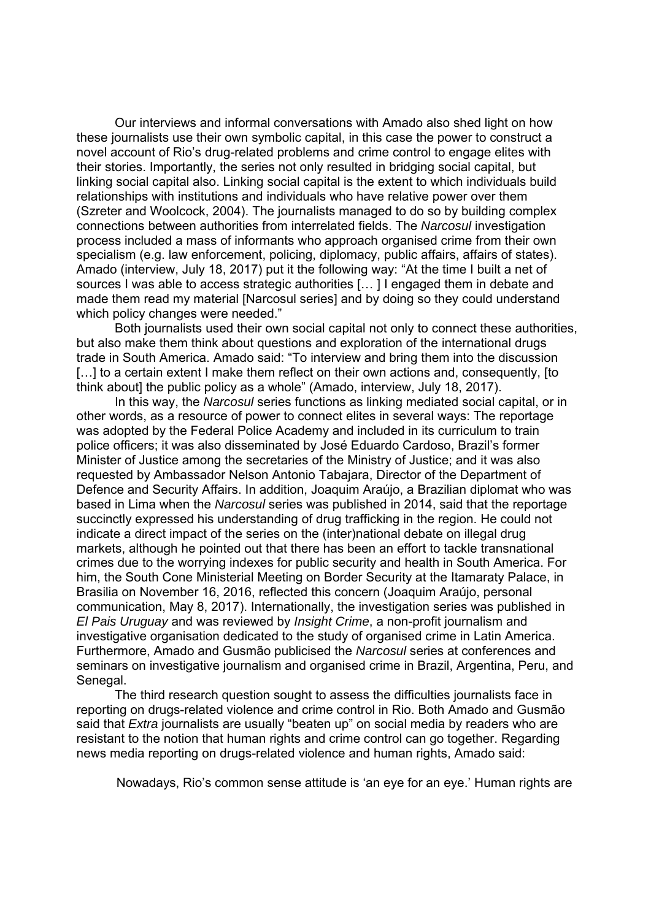Our interviews and informal conversations with Amado also shed light on how these journalists use their own symbolic capital, in this case the power to construct a novel account of Rio's drug-related problems and crime control to engage elites with their stories. Importantly, the series not only resulted in bridging social capital, but linking social capital also. Linking social capital is the extent to which individuals build relationships with institutions and individuals who have relative power over them (Szreter and Woolcock, 2004). The journalists managed to do so by building complex connections between authorities from interrelated fields. The *Narcosul* investigation process included a mass of informants who approach organised crime from their own specialism (e.g. law enforcement, policing, diplomacy, public affairs, affairs of states). Amado (interview, July 18, 2017) put it the following way: "At the time I built a net of sources I was able to access strategic authorities [… ] I engaged them in debate and made them read my material [Narcosul series] and by doing so they could understand which policy changes were needed."

Both journalists used their own social capital not only to connect these authorities, but also make them think about questions and exploration of the international drugs trade in South America. Amado said: "To interview and bring them into the discussion [...] to a certain extent I make them reflect on their own actions and, consequently, [to think about] the public policy as a whole" (Amado, interview, July 18, 2017).

In this way, the *Narcosul* series functions as linking mediated social capital, or in other words, as a resource of power to connect elites in several ways: The reportage was adopted by the Federal Police Academy and included in its curriculum to train police officers; it was also disseminated by José Eduardo Cardoso, Brazil's former Minister of Justice among the secretaries of the Ministry of Justice; and it was also requested by Ambassador Nelson Antonio Tabajara, Director of the Department of Defence and Security Affairs. In addition, Joaquim Araújo, a Brazilian diplomat who was based in Lima when the *Narcosul* series was published in 2014, said that the reportage succinctly expressed his understanding of drug trafficking in the region. He could not indicate a direct impact of the series on the (inter)national debate on illegal drug markets, although he pointed out that there has been an effort to tackle transnational crimes due to the worrying indexes for public security and health in South America. For him, the South Cone Ministerial Meeting on Border Security at the Itamaraty Palace, in Brasilia on November 16, 2016, reflected this concern (Joaquim Araújo, personal communication, May 8, 2017). Internationally, the investigation series was published in *El Pais Uruguay* and was reviewed by *Insight Crime*, a non-profit journalism and investigative organisation dedicated to the study of organised crime in Latin America. Furthermore, Amado and Gusmão publicised the *Narcosul* series at conferences and seminars on investigative journalism and organised crime in Brazil, Argentina, Peru, and Senegal.

 The third research question sought to assess the difficulties journalists face in reporting on drugs-related violence and crime control in Rio. Both Amado and Gusmão said that *Extra* journalists are usually "beaten up" on social media by readers who are resistant to the notion that human rights and crime control can go together. Regarding news media reporting on drugs-related violence and human rights, Amado said:

Nowadays, Rio's common sense attitude is 'an eye for an eye.' Human rights are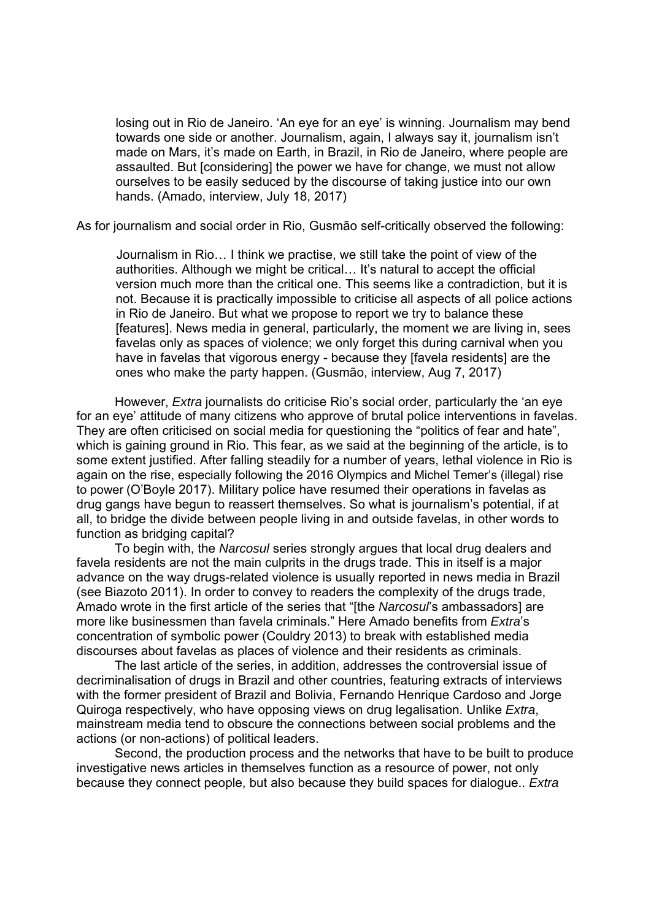losing out in Rio de Janeiro. 'An eye for an eye' is winning. Journalism may bend towards one side or another. Journalism, again, I always say it, journalism isn't made on Mars, it's made on Earth, in Brazil, in Rio de Janeiro, where people are assaulted. But [considering] the power we have for change, we must not allow ourselves to be easily seduced by the discourse of taking justice into our own hands. (Amado, interview, July 18, 2017)

As for journalism and social order in Rio, Gusmão self-critically observed the following:

Journalism in Rio… I think we practise, we still take the point of view of the authorities. Although we might be critical… It's natural to accept the official version much more than the critical one. This seems like a contradiction, but it is not. Because it is practically impossible to criticise all aspects of all police actions in Rio de Janeiro. But what we propose to report we try to balance these [features]. News media in general, particularly, the moment we are living in, sees favelas only as spaces of violence; we only forget this during carnival when you have in favelas that vigorous energy - because they [favela residents] are the ones who make the party happen. (Gusmão, interview, Aug 7, 2017)

 However, *Extra* journalists do criticise Rio's social order, particularly the 'an eye for an eye' attitude of many citizens who approve of brutal police interventions in favelas. They are often criticised on social media for questioning the "politics of fear and hate", which is gaining ground in Rio. This fear, as we said at the beginning of the article, is to some extent justified. After falling steadily for a number of years, lethal violence in Rio is again on the rise, especially following the 2016 Olympics and Michel Temer's (illegal) rise to power (O'Boyle 2017). Military police have resumed their operations in favelas as drug gangs have begun to reassert themselves. So what is journalism's potential, if at all, to bridge the divide between people living in and outside favelas, in other words to function as bridging capital?

To begin with, the *Narcosul* series strongly argues that local drug dealers and favela residents are not the main culprits in the drugs trade. This in itself is a major advance on the way drugs-related violence is usually reported in news media in Brazil (see Biazoto 2011). In order to convey to readers the complexity of the drugs trade, Amado wrote in the first article of the series that "[the *Narcosul*'s ambassadors] are more like businessmen than favela criminals." Here Amado benefits from *Extra*'s concentration of symbolic power (Couldry 2013) to break with established media discourses about favelas as places of violence and their residents as criminals.

The last article of the series, in addition, addresses the controversial issue of decriminalisation of drugs in Brazil and other countries, featuring extracts of interviews with the former president of Brazil and Bolivia, Fernando Henrique Cardoso and Jorge Quiroga respectively, who have opposing views on drug legalisation. Unlike *Extra*, mainstream media tend to obscure the connections between social problems and the actions (or non-actions) of political leaders.

Second, the production process and the networks that have to be built to produce investigative news articles in themselves function as a resource of power, not only because they connect people, but also because they build spaces for dialogue.. *Extra*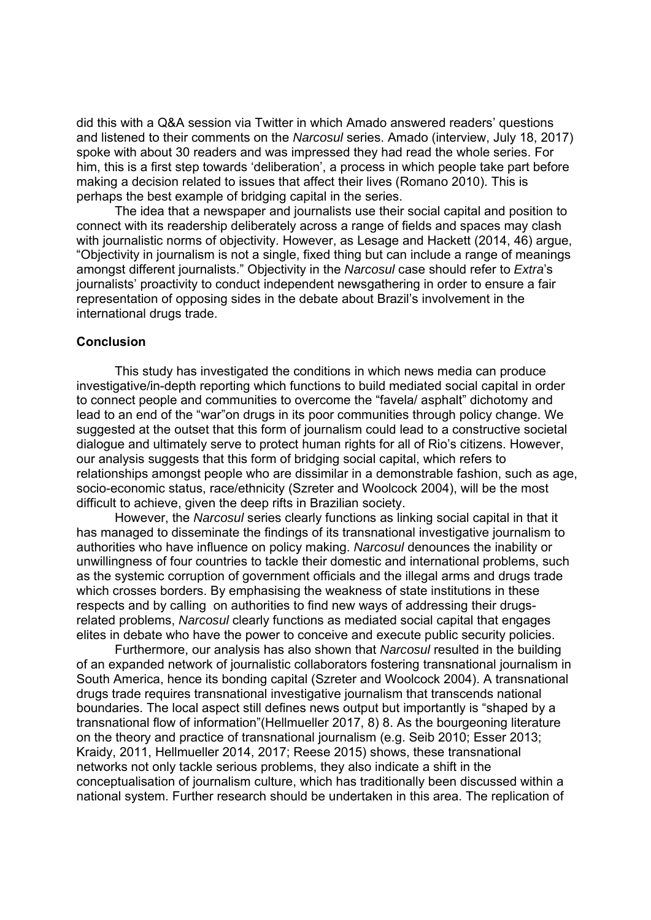did this with a Q&A session via Twitter in which Amado answered readers' questions and listened to their comments on the *Narcosul* series. Amado (interview, July 18, 2017) spoke with about 30 readers and was impressed they had read the whole series. For him, this is a first step towards 'deliberation', a process in which people take part before making a decision related to issues that affect their lives (Romano 2010). This is perhaps the best example of bridging capital in the series.

 The idea that a newspaper and journalists use their social capital and position to connect with its readership deliberately across a range of fields and spaces may clash with journalistic norms of objectivity. However, as Lesage and Hackett (2014, 46) argue, "Objectivity in journalism is not a single, fixed thing but can include a range of meanings amongst different journalists." Objectivity in the *Narcosul* case should refer to *Extra*'s journalists' proactivity to conduct independent newsgathering in order to ensure a fair representation of opposing sides in the debate about Brazil's involvement in the international drugs trade.

### **Conclusion**

 This study has investigated the conditions in which news media can produce investigative/in-depth reporting which functions to build mediated social capital in order to connect people and communities to overcome the "favela/ asphalt" dichotomy and lead to an end of the "war"on drugs in its poor communities through policy change. We suggested at the outset that this form of journalism could lead to a constructive societal dialogue and ultimately serve to protect human rights for all of Rio's citizens. However, our analysis suggests that this form of bridging social capital, which refers to relationships amongst people who are dissimilar in a demonstrable fashion, such as age, socio-economic status, race/ethnicity (Szreter and Woolcock 2004), will be the most difficult to achieve, given the deep rifts in Brazilian society.

 However, the *Narcosul* series clearly functions as linking social capital in that it has managed to disseminate the findings of its transnational investigative journalism to authorities who have influence on policy making. *Narcosul* denounces the inability or unwillingness of four countries to tackle their domestic and international problems, such as the systemic corruption of government officials and the illegal arms and drugs trade which crosses borders. By emphasising the weakness of state institutions in these respects and by calling on authorities to find new ways of addressing their drugsrelated problems, *Narcosul* clearly functions as mediated social capital that engages elites in debate who have the power to conceive and execute public security policies.

 Furthermore, our analysis has also shown that *Narcosul* resulted in the building of an expanded network of journalistic collaborators fostering transnational journalism in South America, hence its bonding capital (Szreter and Woolcock 2004). A transnational drugs trade requires transnational investigative journalism that transcends national boundaries. The local aspect still defines news output but importantly is "shaped by a transnational flow of information"(Hellmueller 2017, 8) 8. As the bourgeoning literature on the theory and practice of transnational journalism (e.g. Seib 2010; Esser 2013; Kraidy, 2011, Hellmueller 2014, 2017; Reese 2015) shows, these transnational networks not only tackle serious problems, they also indicate a shift in the conceptualisation of journalism culture, which has traditionally been discussed within a national system. Further research should be undertaken in this area. The replication of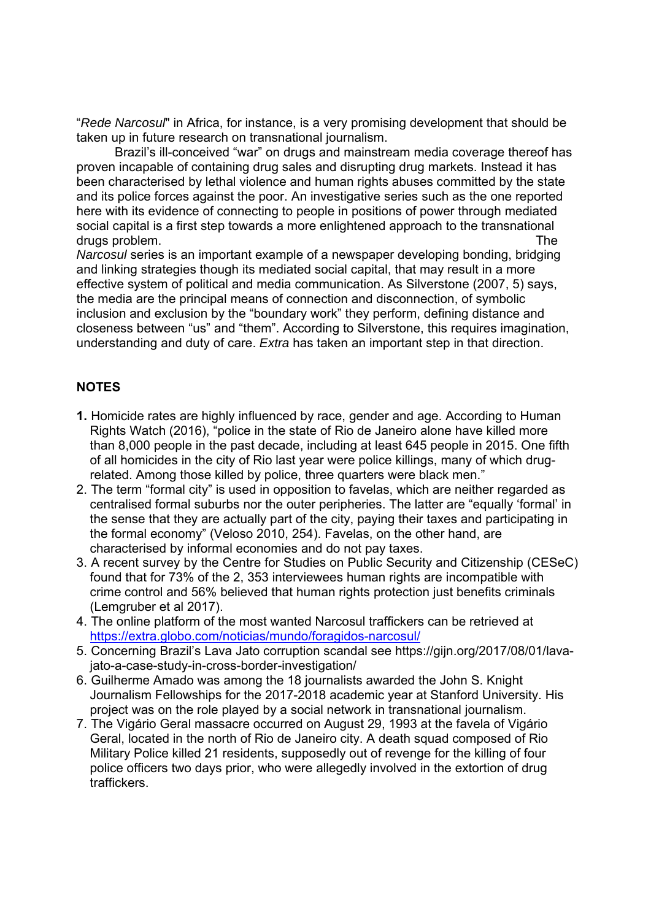"*Rede Narcosul*" in Africa, for instance, is a very promising development that should be taken up in future research on transnational journalism.

Brazil's ill-conceived "war" on drugs and mainstream media coverage thereof has proven incapable of containing drug sales and disrupting drug markets. Instead it has been characterised by lethal violence and human rights abuses committed by the state and its police forces against the poor. An investigative series such as the one reported here with its evidence of connecting to people in positions of power through mediated social capital is a first step towards a more enlightened approach to the transnational drugs problem. The contract of the contract of the contract of the contract of the contract of the contract of the contract of the contract of the contract of the contract of the contract of the contract of the contract of

*Narcosul* series is an important example of a newspaper developing bonding, bridging and linking strategies though its mediated social capital, that may result in a more effective system of political and media communication. As Silverstone (2007, 5) says, the media are the principal means of connection and disconnection, of symbolic inclusion and exclusion by the "boundary work" they perform, defining distance and closeness between "us" and "them". According to Silverstone, this requires imagination, understanding and duty of care. *Extra* has taken an important step in that direction.

## **NOTES**

- **1.** Homicide rates are highly influenced by race, gender and age. According to Human Rights Watch (2016), "police in the state of Rio de Janeiro alone have killed more than 8,000 people in the past decade, including at least 645 people in 2015. One fifth of all homicides in the city of Rio last year were police killings, many of which drugrelated. Among those killed by police, three quarters were black men."
- 2. The term "formal city" is used in opposition to favelas, which are neither regarded as centralised formal suburbs nor the outer peripheries. The latter are "equally 'formal' in the sense that they are actually part of the city, paying their taxes and participating in the formal economy" (Veloso 2010, 254). Favelas, on the other hand, are characterised by informal economies and do not pay taxes.
- 3. A recent survey by the Centre for Studies on Public Security and Citizenship (CESeC) found that for 73% of the 2, 353 interviewees human rights are incompatible with crime control and 56% believed that human rights protection just benefits criminals (Lemgruber et al 2017).
- 4. The online platform of the most wanted Narcosul traffickers can be retrieved at https://extra.globo.com/noticias/mundo/foragidos-narcosul/
- 5. Concerning Brazil's Lava Jato corruption scandal see https://gijn.org/2017/08/01/lavajato-a-case-study-in-cross-border-investigation/
- 6. Guilherme Amado was among the 18 journalists awarded the John S. Knight Journalism Fellowships for the 2017-2018 academic year at Stanford University. His project was on the role played by a social network in transnational journalism.
- 7. The Vigário Geral massacre occurred on August 29, 1993 at the favela of Vigário Geral, located in the north of Rio de Janeiro city. A death squad composed of Rio Military Police killed 21 residents, supposedly out of revenge for the killing of four police officers two days prior, who were allegedly involved in the extortion of drug traffickers.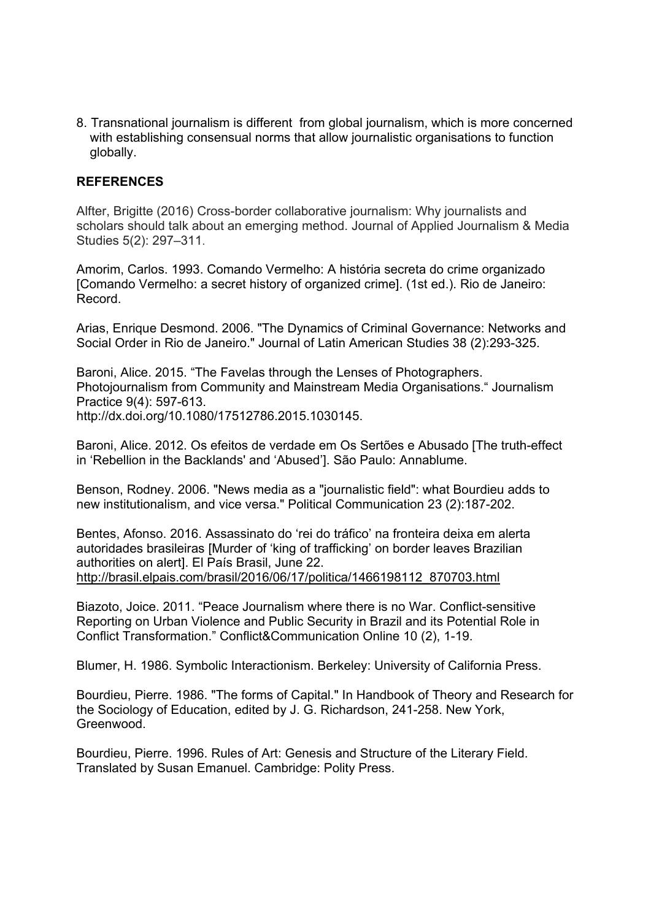8. Transnational journalism is different from global journalism, which is more concerned with establishing consensual norms that allow journalistic organisations to function globally.

## **REFERENCES**

Alfter, Brigitte (2016) Cross-border collaborative journalism: Why journalists and scholars should talk about an emerging method. Journal of Applied Journalism & Media Studies 5(2): 297–311.

Amorim, Carlos. 1993. Comando Vermelho: A história secreta do crime organizado [Comando Vermelho: a secret history of organized crime]. (1st ed.). Rio de Janeiro: Record.

Arias, Enrique Desmond. 2006. "The Dynamics of Criminal Governance: Networks and Social Order in Rio de Janeiro." Journal of Latin American Studies 38 (2):293-325.

Baroni, Alice. 2015. "The Favelas through the Lenses of Photographers. Photojournalism from Community and Mainstream Media Organisations." Journalism Practice 9(4): 597-613. http://dx.doi.org/10.1080/17512786.2015.1030145.

Baroni, Alice. 2012. Os efeitos de verdade em Os Sertões e Abusado [The truth-effect in 'Rebellion in the Backlands' and 'Abused']. São Paulo: Annablume.

Benson, Rodney. 2006. "News media as a "journalistic field": what Bourdieu adds to new institutionalism, and vice versa." Political Communication 23 (2):187-202.

Bentes, Afonso. 2016. Assassinato do 'rei do tráfico' na fronteira deixa em alerta autoridades brasileiras [Murder of 'king of trafficking' on border leaves Brazilian authorities on alert]. El País Brasil, June 22. http://brasil.elpais.com/brasil/2016/06/17/politica/1466198112\_870703.html

Biazoto, Joice. 2011. "Peace Journalism where there is no War. Conflict-sensitive Reporting on Urban Violence and Public Security in Brazil and its Potential Role in Conflict Transformation." Conflict&Communication Online 10 (2), 1-19.

Blumer, H. 1986. Symbolic Interactionism. Berkeley: University of California Press.

Bourdieu, Pierre. 1986. "The forms of Capital." In Handbook of Theory and Research for the Sociology of Education, edited by J. G. Richardson, 241-258. New York, Greenwood.

Bourdieu, Pierre. 1996. Rules of Art: Genesis and Structure of the Literary Field. Translated by Susan Emanuel. Cambridge: Polity Press.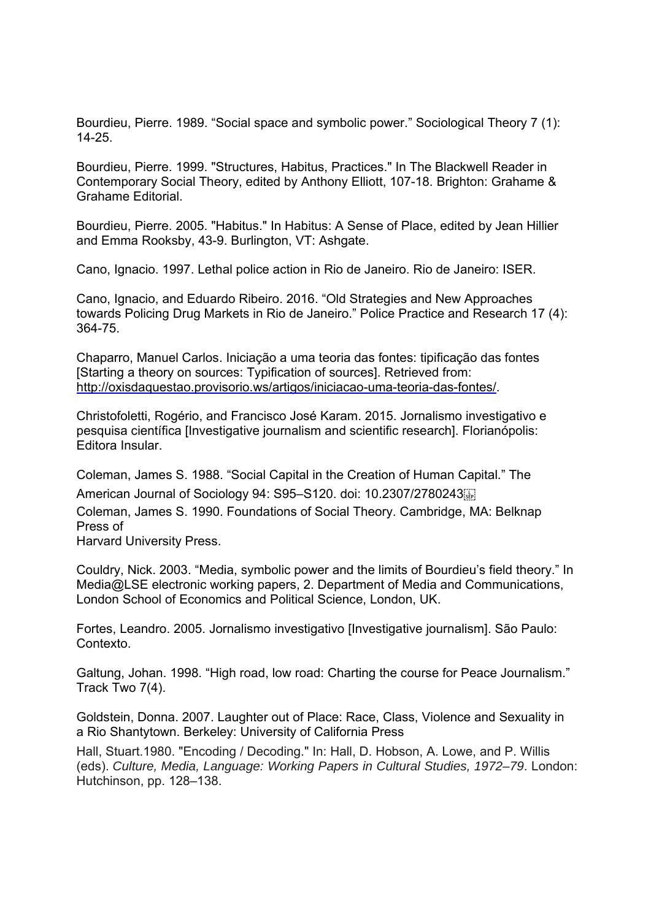Bourdieu, Pierre. 1989. "Social space and symbolic power." Sociological Theory 7 (1): 14-25.

Bourdieu, Pierre. 1999. "Structures, Habitus, Practices." In The Blackwell Reader in Contemporary Social Theory, edited by Anthony Elliott, 107-18. Brighton: Grahame & Grahame Editorial.

Bourdieu, Pierre. 2005. "Habitus." In Habitus: A Sense of Place, edited by Jean Hillier and Emma Rooksby, 43-9. Burlington, VT: Ashgate.

Cano, Ignacio. 1997. Lethal police action in Rio de Janeiro. Rio de Janeiro: ISER.

Cano, Ignacio, and Eduardo Ribeiro. 2016. "Old Strategies and New Approaches towards Policing Drug Markets in Rio de Janeiro." Police Practice and Research 17 (4): 364-75.

Chaparro, Manuel Carlos. Iniciação a uma teoria das fontes: tipificação das fontes [Starting a theory on sources: Typification of sources]. Retrieved from: http://oxisdaquestao.provisorio.ws/artigos/iniciacao-uma-teoria-das-fontes/.

Christofoletti, Rogério, and Francisco José Karam. 2015. Jornalismo investigativo e pesquisa científica [Investigative journalism and scientific research]. Florianópolis: Editora Insular.

Coleman, James S. 1988. "Social Capital in the Creation of Human Capital." The American Journal of Sociology 94: S95–S120. doi: 10.2307/2780243

Coleman, James S. 1990. Foundations of Social Theory. Cambridge, MA: Belknap Press of

Harvard University Press.

Couldry, Nick. 2003. "Media, symbolic power and the limits of Bourdieu's field theory." In Media@LSE electronic working papers, 2. Department of Media and Communications, London School of Economics and Political Science, London, UK.

Fortes, Leandro. 2005. Jornalismo investigativo [Investigative journalism]. São Paulo: Contexto.

Galtung, Johan. 1998. "High road, low road: Charting the course for Peace Journalism." Track Two 7(4).

Goldstein, Donna. 2007. Laughter out of Place: Race, Class, Violence and Sexuality in a Rio Shantytown. Berkeley: University of California Press

Hall, Stuart.1980. "Encoding / Decoding." In: Hall, D. Hobson, A. Lowe, and P. Willis (eds). *Culture, Media, Language: Working Papers in Cultural Studies, 1972–79*. London: Hutchinson, pp. 128–138.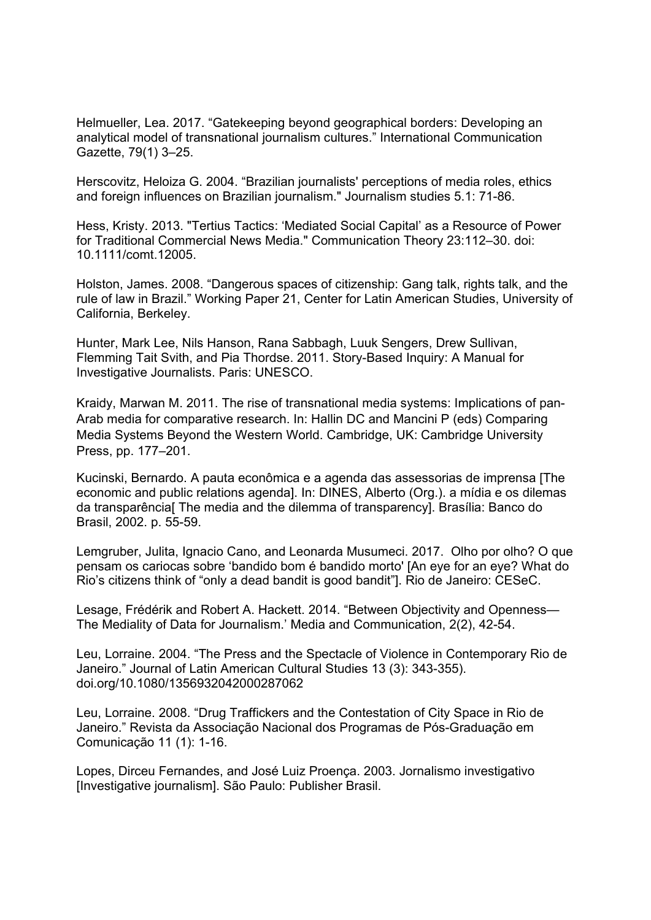Helmueller, Lea. 2017. "Gatekeeping beyond geographical borders: Developing an analytical model of transnational journalism cultures." International Communication Gazette, 79(1) 3–25.

Herscovitz, Heloiza G. 2004. "Brazilian journalists' perceptions of media roles, ethics and foreign influences on Brazilian journalism." Journalism studies 5.1: 71-86.

Hess, Kristy. 2013. "Tertius Tactics: 'Mediated Social Capital' as a Resource of Power for Traditional Commercial News Media." Communication Theory 23:112–30. doi: 10.1111/comt.12005.

Holston, James. 2008. "Dangerous spaces of citizenship: Gang talk, rights talk, and the rule of law in Brazil." Working Paper 21, Center for Latin American Studies, University of California, Berkeley.

Hunter, Mark Lee, Nils Hanson, Rana Sabbagh, Luuk Sengers, Drew Sullivan, Flemming Tait Svith, and Pia Thordse. 2011. Story-Based Inquiry: A Manual for Investigative Journalists. Paris: UNESCO.

Kraidy, Marwan M. 2011. The rise of transnational media systems: Implications of pan-Arab media for comparative research. In: Hallin DC and Mancini P (eds) Comparing Media Systems Beyond the Western World. Cambridge, UK: Cambridge University Press, pp. 177–201.

Kucinski, Bernardo. A pauta econômica e a agenda das assessorias de imprensa [The economic and public relations agenda]. In: DINES, Alberto (Org.). a mídia e os dilemas da transparência[ The media and the dilemma of transparency]. Brasília: Banco do Brasil, 2002. p. 55-59.

Lemgruber, Julita, Ignacio Cano, and Leonarda Musumeci. 2017. Olho por olho? O que pensam os cariocas sobre 'bandido bom é bandido morto' [An eye for an eye? What do Rio's citizens think of "only a dead bandit is good bandit"]. Rio de Janeiro: CESeC.

Lesage, Frédérik and Robert A. Hackett. 2014. "Between Objectivity and Openness— The Mediality of Data for Journalism.' Media and Communication, 2(2), 42-54.

Leu, Lorraine. 2004. "The Press and the Spectacle of Violence in Contemporary Rio de Janeiro." Journal of Latin American Cultural Studies 13 (3): 343-355). doi.org/10.1080/1356932042000287062

Leu, Lorraine. 2008. "Drug Traffickers and the Contestation of City Space in Rio de Janeiro." Revista da Associação Nacional dos Programas de Pós-Graduação em Comunicação 11 (1): 1-16.

Lopes, Dirceu Fernandes, and José Luiz Proença. 2003. Jornalismo investigativo [Investigative journalism]. São Paulo: Publisher Brasil.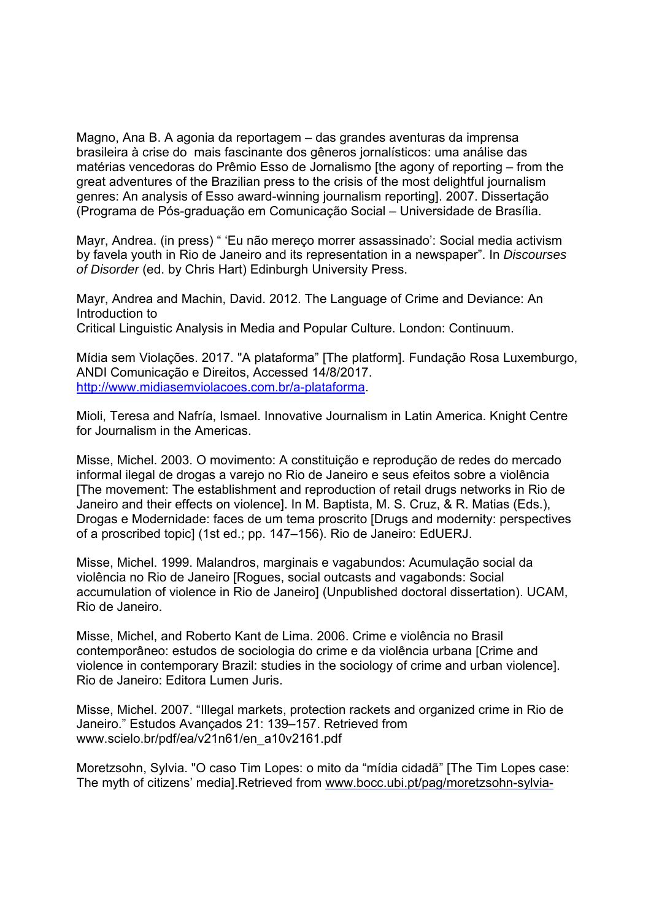Magno, Ana B. A agonia da reportagem – das grandes aventuras da imprensa brasileira à crise do mais fascinante dos gêneros jornalísticos: uma análise das matérias vencedoras do Prêmio Esso de Jornalismo [the agony of reporting – from the great adventures of the Brazilian press to the crisis of the most delightful journalism genres: An analysis of Esso award-winning journalism reporting]. 2007. Dissertação (Programa de Pós-graduação em Comunicação Social – Universidade de Brasília.

Mayr, Andrea. (in press) " 'Eu não mereço morrer assassinado': Social media activism by favela youth in Rio de Janeiro and its representation in a newspaper". In *Discourses of Disorder* (ed. by Chris Hart) Edinburgh University Press.

Mayr, Andrea and Machin, David. 2012. The Language of Crime and Deviance: An Introduction to Critical Linguistic Analysis in Media and Popular Culture. London: Continuum.

Mídia sem Violações. 2017. "A plataforma" [The platform]. Fundação Rosa Luxemburgo, ANDI Comunicação e Direitos, Accessed 14/8/2017. http://www.midiasemviolacoes.com.br/a-plataforma.

Mioli, Teresa and Nafría, Ismael. Innovative Journalism in Latin America. Knight Centre for Journalism in the Americas.

Misse, Michel. 2003. O movimento: A constituição e reprodução de redes do mercado informal ilegal de drogas a varejo no Rio de Janeiro e seus efeitos sobre a violência [The movement: The establishment and reproduction of retail drugs networks in Rio de Janeiro and their effects on violence]. In M. Baptista, M. S. Cruz, & R. Matias (Eds.), Drogas e Modernidade: faces de um tema proscrito [Drugs and modernity: perspectives of a proscribed topic] (1st ed.; pp. 147–156). Rio de Janeiro: EdUERJ.

Misse, Michel. 1999. Malandros, marginais e vagabundos: Acumulação social da violência no Rio de Janeiro [Rogues, social outcasts and vagabonds: Social accumulation of violence in Rio de Janeiro] (Unpublished doctoral dissertation). UCAM, Rio de Janeiro.

Misse, Michel, and Roberto Kant de Lima. 2006. Crime e violência no Brasil contemporâneo: estudos de sociologia do crime e da violência urbana [Crime and violence in contemporary Brazil: studies in the sociology of crime and urban violence]. Rio de Janeiro: Editora Lumen Juris.

Misse, Michel. 2007. "Illegal markets, protection rackets and organized crime in Rio de Janeiro." Estudos Avançados 21: 139–157. Retrieved from www.scielo.br/pdf/ea/v21n61/en\_a10v2161.pdf

Moretzsohn, Sylvia. "O caso Tim Lopes: o mito da "mídia cidadã" [The Tim Lopes case: The myth of citizens' media].Retrieved from www.bocc.ubi.pt/pag/moretzsohn-sylvia-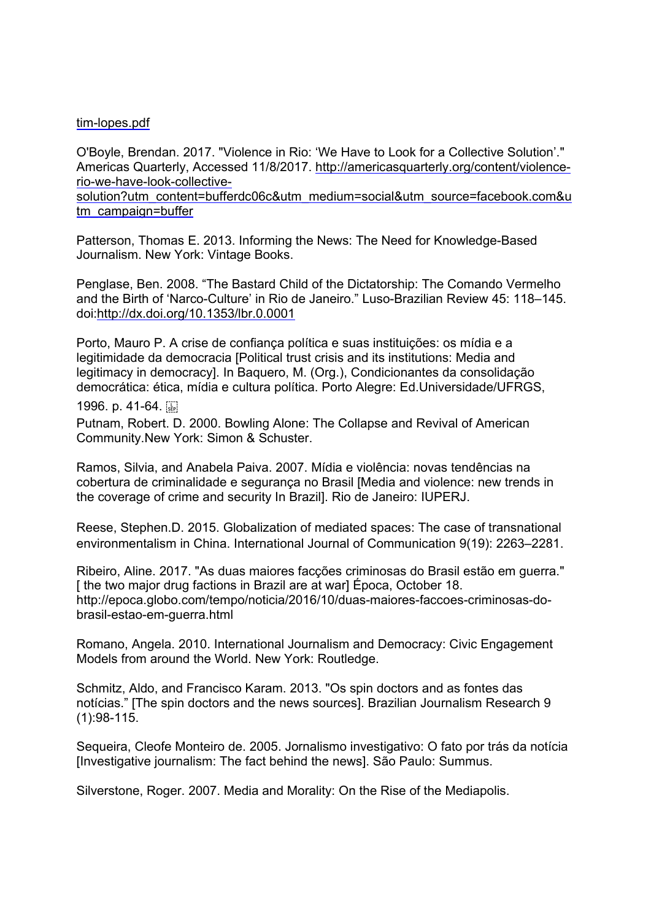### tim-lopes.pdf

O'Boyle, Brendan. 2017. "Violence in Rio: 'We Have to Look for a Collective Solution'." Americas Quarterly, Accessed 11/8/2017. http://americasquarterly.org/content/violencerio-we-have-look-collective-

solution?utm\_content=bufferdc06c&utm\_medium=social&utm\_source=facebook.com&u tm\_campaign=buffer

Patterson, Thomas E. 2013. Informing the News: The Need for Knowledge-Based Journalism. New York: Vintage Books.

Penglase, Ben. 2008. "The Bastard Child of the Dictatorship: The Comando Vermelho and the Birth of 'Narco-Culture' in Rio de Janeiro." Luso-Brazilian Review 45: 118–145. doi:http://dx.doi.org/10.1353/lbr.0.0001

Porto, Mauro P. A crise de confiança política e suas instituições: os mídia e a legitimidade da democracia [Political trust crisis and its institutions: Media and legitimacy in democracy]. In Baquero, M. (Org.), Condicionantes da consolidação democrática: ética, mídia e cultura política. Porto Alegre: Ed.Universidade/UFRGS,

1996. p. 41-64.

Putnam, Robert. D. 2000. Bowling Alone: The Collapse and Revival of American Community.New York: Simon & Schuster.

Ramos, Silvia, and Anabela Paiva. 2007. Mídia e violência: novas tendências na cobertura de criminalidade e segurança no Brasil [Media and violence: new trends in the coverage of crime and security In Brazil]. Rio de Janeiro: IUPERJ.

Reese, Stephen.D. 2015. Globalization of mediated spaces: The case of transnational environmentalism in China. International Journal of Communication 9(19): 2263–2281.

Ribeiro, Aline. 2017. "As duas maiores facções criminosas do Brasil estão em guerra." [the two major drug factions in Brazil are at war] Época, October 18. http://epoca.globo.com/tempo/noticia/2016/10/duas-maiores-faccoes-criminosas-dobrasil-estao-em-guerra.html

Romano, Angela. 2010. International Journalism and Democracy: Civic Engagement Models from around the World. New York: Routledge.

Schmitz, Aldo, and Francisco Karam. 2013. "Os spin doctors and as fontes das notícias." [The spin doctors and the news sources]. Brazilian Journalism Research 9 (1):98-115.

Sequeira, Cleofe Monteiro de. 2005. Jornalismo investigativo: O fato por trás da notícia [Investigative journalism: The fact behind the news]. São Paulo: Summus.

Silverstone, Roger. 2007. Media and Morality: On the Rise of the Mediapolis.